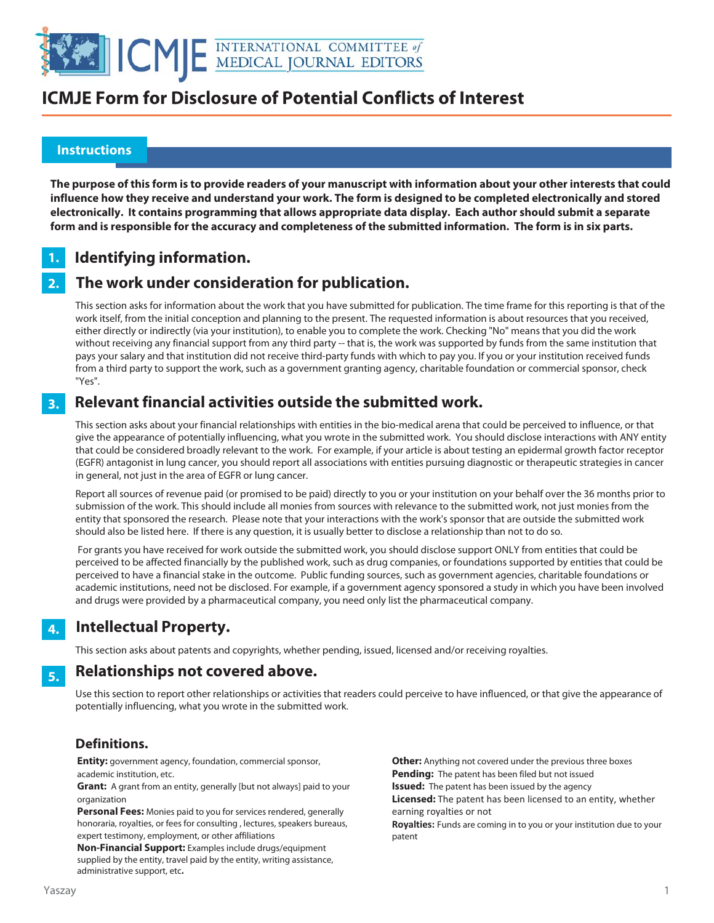

### **Instructions**

 

> **The purpose of this form is to provide readers of your manuscript with information about your other interests that could influence how they receive and understand your work. The form is designed to be completed electronically and stored electronically. It contains programming that allows appropriate data display. Each author should submit a separate form and is responsible for the accuracy and completeness of the submitted information. The form is in six parts.**

#### **Identifying information. 1.**

#### **The work under consideration for publication. 2.**

This section asks for information about the work that you have submitted for publication. The time frame for this reporting is that of the work itself, from the initial conception and planning to the present. The requested information is about resources that you received, either directly or indirectly (via your institution), to enable you to complete the work. Checking "No" means that you did the work without receiving any financial support from any third party -- that is, the work was supported by funds from the same institution that pays your salary and that institution did not receive third-party funds with which to pay you. If you or your institution received funds from a third party to support the work, such as a government granting agency, charitable foundation or commercial sponsor, check "Yes".

#### **Relevant financial activities outside the submitted work. 3.**

This section asks about your financial relationships with entities in the bio-medical arena that could be perceived to influence, or that give the appearance of potentially influencing, what you wrote in the submitted work. You should disclose interactions with ANY entity that could be considered broadly relevant to the work. For example, if your article is about testing an epidermal growth factor receptor (EGFR) antagonist in lung cancer, you should report all associations with entities pursuing diagnostic or therapeutic strategies in cancer in general, not just in the area of EGFR or lung cancer.

Report all sources of revenue paid (or promised to be paid) directly to you or your institution on your behalf over the 36 months prior to submission of the work. This should include all monies from sources with relevance to the submitted work, not just monies from the entity that sponsored the research. Please note that your interactions with the work's sponsor that are outside the submitted work should also be listed here. If there is any question, it is usually better to disclose a relationship than not to do so.

 For grants you have received for work outside the submitted work, you should disclose support ONLY from entities that could be perceived to be affected financially by the published work, such as drug companies, or foundations supported by entities that could be perceived to have a financial stake in the outcome. Public funding sources, such as government agencies, charitable foundations or academic institutions, need not be disclosed. For example, if a government agency sponsored a study in which you have been involved and drugs were provided by a pharmaceutical company, you need only list the pharmaceutical company.

#### **Intellectual Property. 4.**

This section asks about patents and copyrights, whether pending, issued, licensed and/or receiving royalties.

#### **Relationships not covered above. 5.**

Use this section to report other relationships or activities that readers could perceive to have influenced, or that give the appearance of potentially influencing, what you wrote in the submitted work.

### **Definitions.**

**Entity:** government agency, foundation, commercial sponsor, academic institution, etc.

**Grant:** A grant from an entity, generally [but not always] paid to your organization

**Personal Fees:** Monies paid to you for services rendered, generally honoraria, royalties, or fees for consulting , lectures, speakers bureaus, expert testimony, employment, or other affiliations

**Non-Financial Support:** Examples include drugs/equipment supplied by the entity, travel paid by the entity, writing assistance, administrative support, etc**.**

**Other:** Anything not covered under the previous three boxes **Pending:** The patent has been filed but not issued **Issued:** The patent has been issued by the agency **Licensed:** The patent has been licensed to an entity, whether earning royalties or not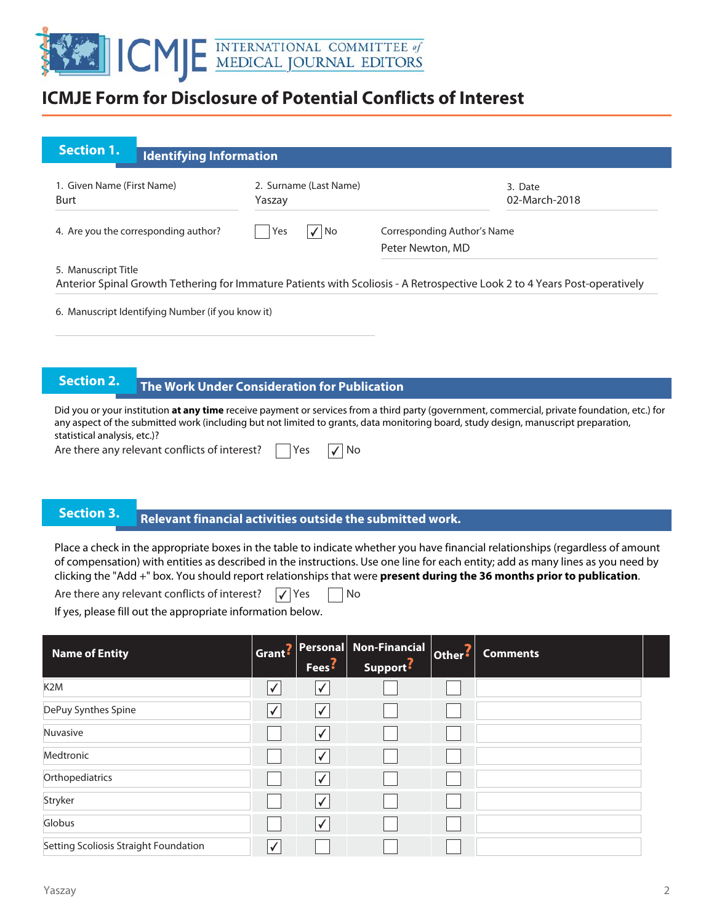

| <b>Section 1.</b>                                 | <b>Identifying Information</b>   |                                                                                                                            |
|---------------------------------------------------|----------------------------------|----------------------------------------------------------------------------------------------------------------------------|
| 1. Given Name (First Name)<br>Burt                | 2. Surname (Last Name)<br>Yaszay | 3. Date<br>02-March-2018                                                                                                   |
| 4. Are you the corresponding author?              | $\sqrt{ N_{0}}$<br>Yes           | Corresponding Author's Name<br>Peter Newton, MD                                                                            |
| 5. Manuscript Title                               |                                  | Anterior Spinal Growth Tethering for Immature Patients with Scoliosis - A Retrospective Look 2 to 4 Years Post-operatively |
| 6. Manuscript Identifying Number (if you know it) |                                  |                                                                                                                            |

### **The Work Under Consideration for Publication**

Did you or your institution **at any time** receive payment or services from a third party (government, commercial, private foundation, etc.) for any aspect of the submitted work (including but not limited to grants, data monitoring board, study design, manuscript preparation, statistical analysis, etc.)?

Are there any relevant conflicts of interest?  $\Box$  Yes

|  | ۰.<br>× |
|--|---------|
|--|---------|

## **Relevant financial activities outside the submitted work. Section 3. Relevant financial activities outset**

Place a check in the appropriate boxes in the table to indicate whether you have financial relationships (regardless of amount of compensation) with entities as described in the instructions. Use one line for each entity; add as many lines as you need by clicking the "Add +" box. You should report relationships that were **present during the 36 months prior to publication**.

Are there any relevant conflicts of interest?  $\sqrt{\ }$  Yes  $\Box$  No

If yes, please fill out the appropriate information below.

| <b>Name of Entity</b>                 | Grant?       | Fees <sup>5</sup> | Personal Non-Financial<br>Support? | $ $ Other $?$ | <b>Comments</b> |  |
|---------------------------------------|--------------|-------------------|------------------------------------|---------------|-----------------|--|
| K <sub>2</sub> M                      | $\checkmark$ | $\sqrt{}$         |                                    |               |                 |  |
| DePuy Synthes Spine                   | $\checkmark$ | $\sqrt{}$         |                                    |               |                 |  |
| Nuvasive                              |              | $\checkmark$      |                                    |               |                 |  |
| Medtronic                             |              | $\sqrt{}$         |                                    |               |                 |  |
| Orthopediatrics                       |              |                   |                                    |               |                 |  |
| Stryker                               |              | $\checkmark$      |                                    |               |                 |  |
| Globus                                |              | $\checkmark$      |                                    |               |                 |  |
| Setting Scoliosis Straight Foundation | ✓            |                   |                                    |               |                 |  |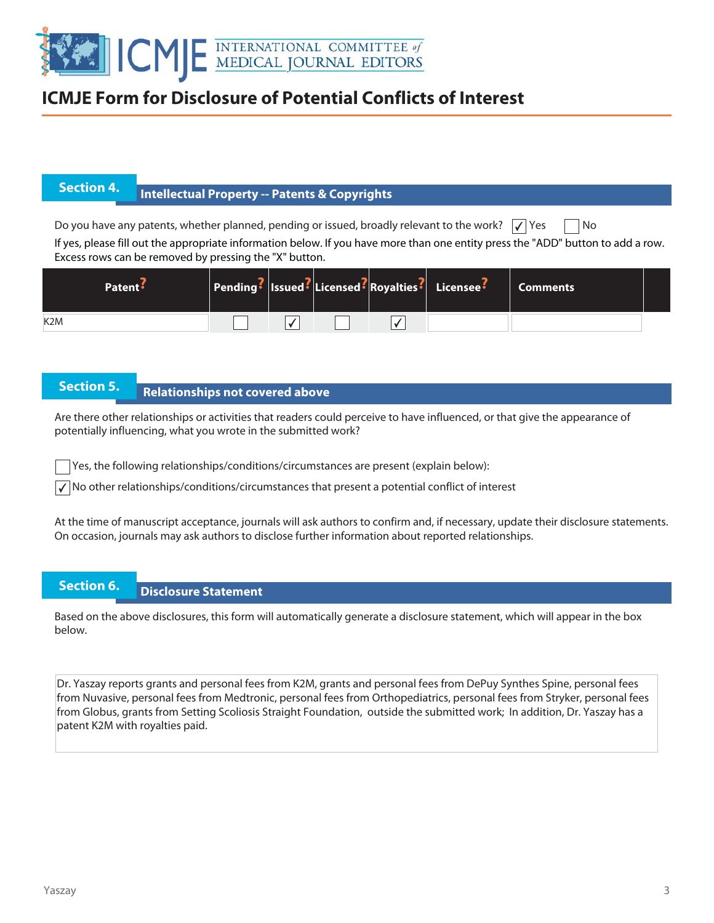

### **Intellectual Property -- Patents & Copyrights**

Do you have any patents, whether planned, pending or issued, broadly relevant to the work?  $\sqrt{\sqrt{2}}$  Yes  $\sqrt{\sqrt{2}}$ 

If yes, please fill out the appropriate information below. If you have more than one entity press the "ADD" button to add a row. Excess rows can be removed by pressing the "X" button.

| Patent:          |  |  | Pending?   Issued?   Licensed? Royalties?   Licensee? | <b>Comments</b> |  |
|------------------|--|--|-------------------------------------------------------|-----------------|--|
| K <sub>2</sub> M |  |  |                                                       |                 |  |

### **Section 5.** Relationships not covered above

Are there other relationships or activities that readers could perceive to have influenced, or that give the appearance of potentially influencing, what you wrote in the submitted work?

Yes, the following relationships/conditions/circumstances are present (explain below):

 $\sqrt{\sqrt{N}}$  No other relationships/conditions/circumstances that present a potential conflict of interest

At the time of manuscript acceptance, journals will ask authors to confirm and, if necessary, update their disclosure statements. On occasion, journals may ask authors to disclose further information about reported relationships.

### **Section 6. Disclosure Statement**

Based on the above disclosures, this form will automatically generate a disclosure statement, which will appear in the box below.

Dr. Yaszay reports grants and personal fees from K2M, grants and personal fees from DePuy Synthes Spine, personal fees from Nuvasive, personal fees from Medtronic, personal fees from Orthopediatrics, personal fees from Stryker, personal fees from Globus, grants from Setting Scoliosis Straight Foundation, outside the submitted work; In addition, Dr. Yaszay has a patent K2M with royalties paid.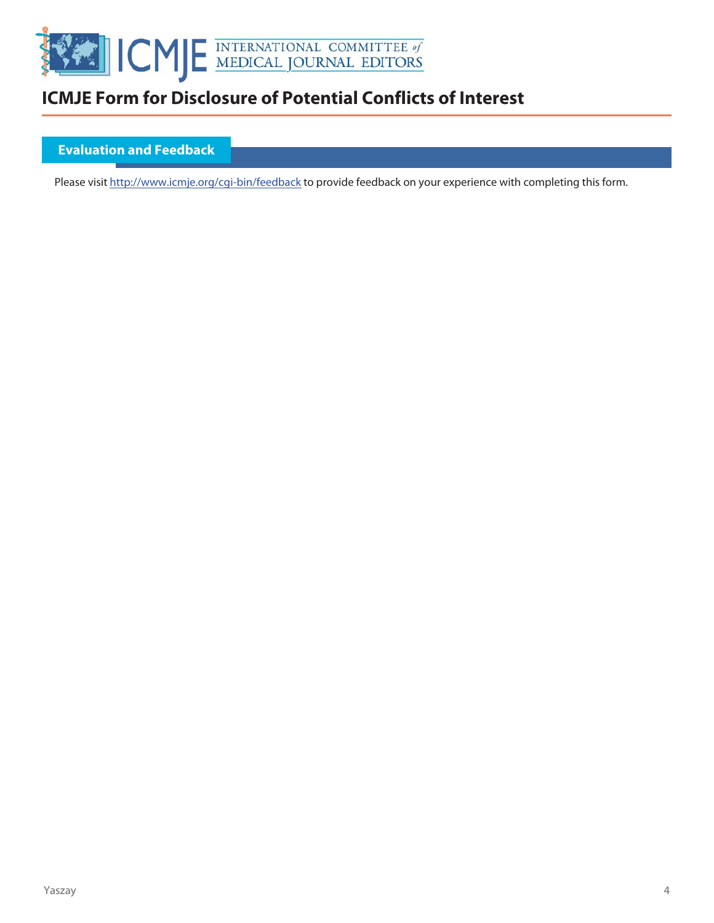

**Evaluation and Feedback**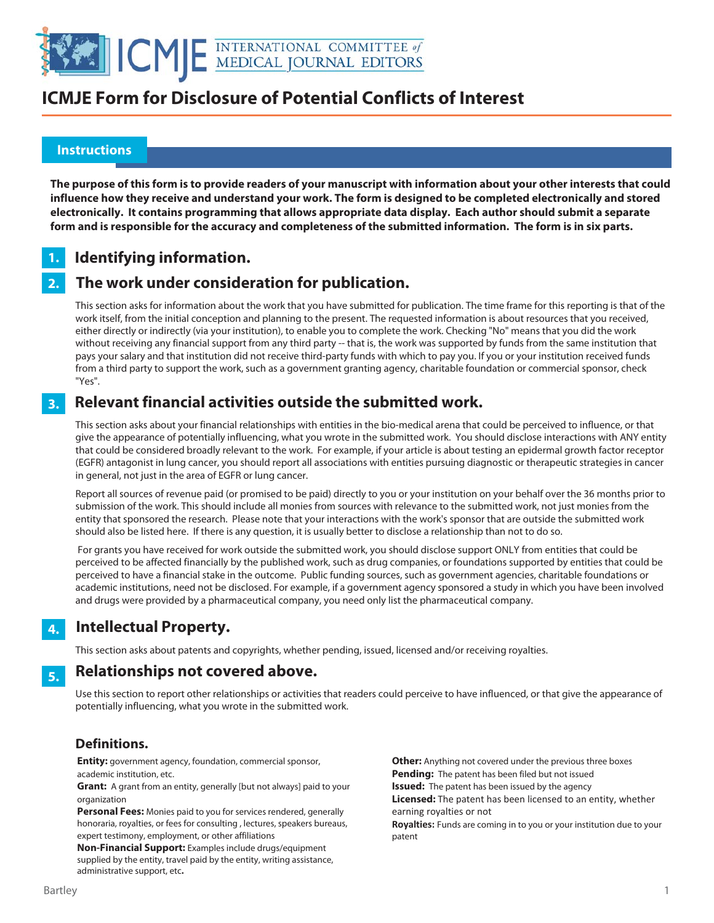

### **Instructions**

 

> **The purpose of this form is to provide readers of your manuscript with information about your other interests that could influence how they receive and understand your work. The form is designed to be completed electronically and stored electronically. It contains programming that allows appropriate data display. Each author should submit a separate form and is responsible for the accuracy and completeness of the submitted information. The form is in six parts.**

#### **Identifying information. 1.**

#### **The work under consideration for publication. 2.**

This section asks for information about the work that you have submitted for publication. The time frame for this reporting is that of the work itself, from the initial conception and planning to the present. The requested information is about resources that you received, either directly or indirectly (via your institution), to enable you to complete the work. Checking "No" means that you did the work without receiving any financial support from any third party -- that is, the work was supported by funds from the same institution that pays your salary and that institution did not receive third-party funds with which to pay you. If you or your institution received funds from a third party to support the work, such as a government granting agency, charitable foundation or commercial sponsor, check "Yes".

#### **Relevant financial activities outside the submitted work. 3.**

This section asks about your financial relationships with entities in the bio-medical arena that could be perceived to influence, or that give the appearance of potentially influencing, what you wrote in the submitted work. You should disclose interactions with ANY entity that could be considered broadly relevant to the work. For example, if your article is about testing an epidermal growth factor receptor (EGFR) antagonist in lung cancer, you should report all associations with entities pursuing diagnostic or therapeutic strategies in cancer in general, not just in the area of EGFR or lung cancer.

Report all sources of revenue paid (or promised to be paid) directly to you or your institution on your behalf over the 36 months prior to submission of the work. This should include all monies from sources with relevance to the submitted work, not just monies from the entity that sponsored the research. Please note that your interactions with the work's sponsor that are outside the submitted work should also be listed here. If there is any question, it is usually better to disclose a relationship than not to do so.

 For grants you have received for work outside the submitted work, you should disclose support ONLY from entities that could be perceived to be affected financially by the published work, such as drug companies, or foundations supported by entities that could be perceived to have a financial stake in the outcome. Public funding sources, such as government agencies, charitable foundations or academic institutions, need not be disclosed. For example, if a government agency sponsored a study in which you have been involved and drugs were provided by a pharmaceutical company, you need only list the pharmaceutical company.

#### **Intellectual Property. 4.**

This section asks about patents and copyrights, whether pending, issued, licensed and/or receiving royalties.

#### **Relationships not covered above. 5.**

Use this section to report other relationships or activities that readers could perceive to have influenced, or that give the appearance of potentially influencing, what you wrote in the submitted work.

### **Definitions.**

**Entity:** government agency, foundation, commercial sponsor, academic institution, etc.

**Grant:** A grant from an entity, generally [but not always] paid to your organization

**Personal Fees:** Monies paid to you for services rendered, generally honoraria, royalties, or fees for consulting , lectures, speakers bureaus, expert testimony, employment, or other affiliations

**Non-Financial Support:** Examples include drugs/equipment supplied by the entity, travel paid by the entity, writing assistance, administrative support, etc**.**

**Other:** Anything not covered under the previous three boxes **Pending:** The patent has been filed but not issued **Issued:** The patent has been issued by the agency **Licensed:** The patent has been licensed to an entity, whether earning royalties or not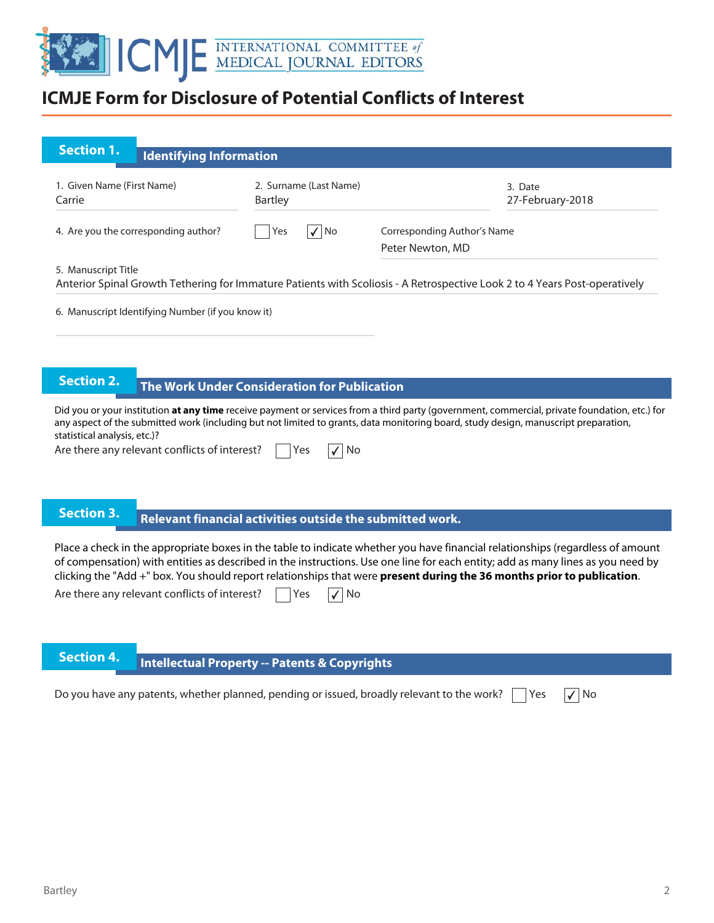

| <b>Section 1.</b>                                 | <b>Identifying Information</b>                            |                                          |                |                                                 |                                                                                                                                                                                                                                                                                                                                                                                             |
|---------------------------------------------------|-----------------------------------------------------------|------------------------------------------|----------------|-------------------------------------------------|---------------------------------------------------------------------------------------------------------------------------------------------------------------------------------------------------------------------------------------------------------------------------------------------------------------------------------------------------------------------------------------------|
| 1. Given Name (First Name)<br>Carrie              |                                                           | 2. Surname (Last Name)<br><b>Bartley</b> |                |                                                 | 3. Date<br>27-February-2018                                                                                                                                                                                                                                                                                                                                                                 |
| 4. Are you the corresponding author?              |                                                           | Yes                                      | $\sqrt{ N_0 }$ | Corresponding Author's Name<br>Peter Newton, MD |                                                                                                                                                                                                                                                                                                                                                                                             |
| 5. Manuscript Title                               |                                                           |                                          |                |                                                 | Anterior Spinal Growth Tethering for Immature Patients with Scoliosis - A Retrospective Look 2 to 4 Years Post-operatively                                                                                                                                                                                                                                                                  |
| 6. Manuscript Identifying Number (if you know it) |                                                           |                                          |                |                                                 |                                                                                                                                                                                                                                                                                                                                                                                             |
|                                                   |                                                           |                                          |                |                                                 |                                                                                                                                                                                                                                                                                                                                                                                             |
| <b>Section 2.</b>                                 | <b>The Work Under Consideration for Publication</b>       |                                          |                |                                                 |                                                                                                                                                                                                                                                                                                                                                                                             |
| statistical analysis, etc.)?                      |                                                           |                                          |                |                                                 | Did you or your institution at any time receive payment or services from a third party (government, commercial, private foundation, etc.) for<br>any aspect of the submitted work (including but not limited to grants, data monitoring board, study design, manuscript preparation,                                                                                                        |
| Are there any relevant conflicts of interest?     |                                                           | Yes                                      | No             |                                                 |                                                                                                                                                                                                                                                                                                                                                                                             |
|                                                   |                                                           |                                          |                |                                                 |                                                                                                                                                                                                                                                                                                                                                                                             |
| <b>Section 3.</b>                                 |                                                           |                                          |                |                                                 |                                                                                                                                                                                                                                                                                                                                                                                             |
|                                                   | Relevant financial activities outside the submitted work. |                                          |                |                                                 |                                                                                                                                                                                                                                                                                                                                                                                             |
|                                                   |                                                           |                                          |                |                                                 | Place a check in the appropriate boxes in the table to indicate whether you have financial relationships (regardless of amount<br>of compensation) with entities as described in the instructions. Use one line for each entity; add as many lines as you need by<br>clicking the "Add +" box. You should report relationships that were present during the 36 months prior to publication. |
| Are there any relevant conflicts of interest?     |                                                           | Yes                                      | No             |                                                 |                                                                                                                                                                                                                                                                                                                                                                                             |

|  |  | Do you have any patents, whether planned, pending or issued, broadly relevant to the work? $\Box$ Yes $\Box$ No |
|--|--|-----------------------------------------------------------------------------------------------------------------|
|--|--|-----------------------------------------------------------------------------------------------------------------|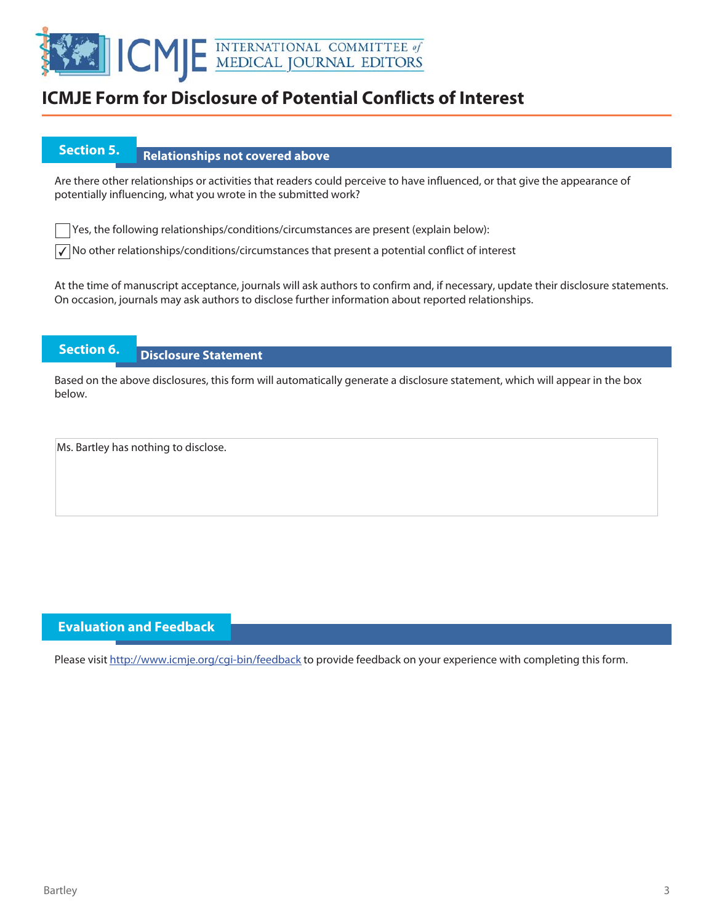

### **Section 5.** Relationships not covered above

Are there other relationships or activities that readers could perceive to have influenced, or that give the appearance of potentially influencing, what you wrote in the submitted work?

Yes, the following relationships/conditions/circumstances are present (explain below):

 $\sqrt{\ }$  No other relationships/conditions/circumstances that present a potential conflict of interest

At the time of manuscript acceptance, journals will ask authors to confirm and, if necessary, update their disclosure statements. On occasion, journals may ask authors to disclose further information about reported relationships.

### **Section 6. Disclosure Statement**

Based on the above disclosures, this form will automatically generate a disclosure statement, which will appear in the box below.

Ms. Bartley has nothing to disclose.

### **Evaluation and Feedback**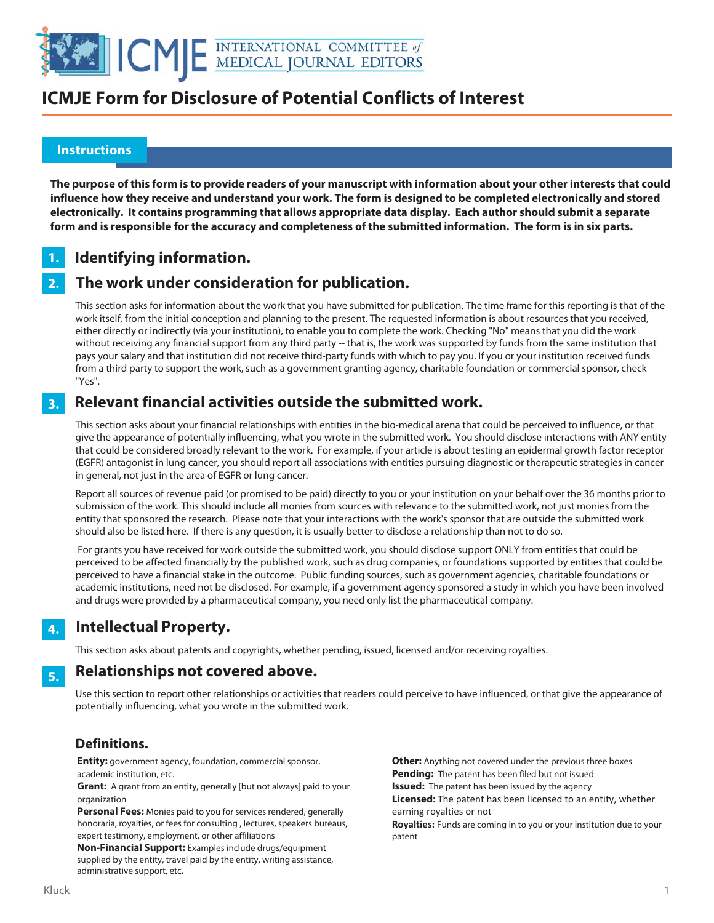

### **Instructions**

 

> **The purpose of this form is to provide readers of your manuscript with information about your other interests that could influence how they receive and understand your work. The form is designed to be completed electronically and stored electronically. It contains programming that allows appropriate data display. Each author should submit a separate form and is responsible for the accuracy and completeness of the submitted information. The form is in six parts.**

#### **Identifying information. 1.**

#### **The work under consideration for publication. 2.**

This section asks for information about the work that you have submitted for publication. The time frame for this reporting is that of the work itself, from the initial conception and planning to the present. The requested information is about resources that you received, either directly or indirectly (via your institution), to enable you to complete the work. Checking "No" means that you did the work without receiving any financial support from any third party -- that is, the work was supported by funds from the same institution that pays your salary and that institution did not receive third-party funds with which to pay you. If you or your institution received funds from a third party to support the work, such as a government granting agency, charitable foundation or commercial sponsor, check "Yes".

#### **Relevant financial activities outside the submitted work. 3.**

This section asks about your financial relationships with entities in the bio-medical arena that could be perceived to influence, or that give the appearance of potentially influencing, what you wrote in the submitted work. You should disclose interactions with ANY entity that could be considered broadly relevant to the work. For example, if your article is about testing an epidermal growth factor receptor (EGFR) antagonist in lung cancer, you should report all associations with entities pursuing diagnostic or therapeutic strategies in cancer in general, not just in the area of EGFR or lung cancer.

Report all sources of revenue paid (or promised to be paid) directly to you or your institution on your behalf over the 36 months prior to submission of the work. This should include all monies from sources with relevance to the submitted work, not just monies from the entity that sponsored the research. Please note that your interactions with the work's sponsor that are outside the submitted work should also be listed here. If there is any question, it is usually better to disclose a relationship than not to do so.

 For grants you have received for work outside the submitted work, you should disclose support ONLY from entities that could be perceived to be affected financially by the published work, such as drug companies, or foundations supported by entities that could be perceived to have a financial stake in the outcome. Public funding sources, such as government agencies, charitable foundations or academic institutions, need not be disclosed. For example, if a government agency sponsored a study in which you have been involved and drugs were provided by a pharmaceutical company, you need only list the pharmaceutical company.

#### **Intellectual Property. 4.**

This section asks about patents and copyrights, whether pending, issued, licensed and/or receiving royalties.

#### **Relationships not covered above. 5.**

Use this section to report other relationships or activities that readers could perceive to have influenced, or that give the appearance of potentially influencing, what you wrote in the submitted work.

### **Definitions.**

**Entity:** government agency, foundation, commercial sponsor, academic institution, etc.

**Grant:** A grant from an entity, generally [but not always] paid to your organization

**Personal Fees:** Monies paid to you for services rendered, generally honoraria, royalties, or fees for consulting , lectures, speakers bureaus, expert testimony, employment, or other affiliations

**Non-Financial Support:** Examples include drugs/equipment supplied by the entity, travel paid by the entity, writing assistance, administrative support, etc**.**

**Other:** Anything not covered under the previous three boxes **Pending:** The patent has been filed but not issued **Issued:** The patent has been issued by the agency **Licensed:** The patent has been licensed to an entity, whether earning royalties or not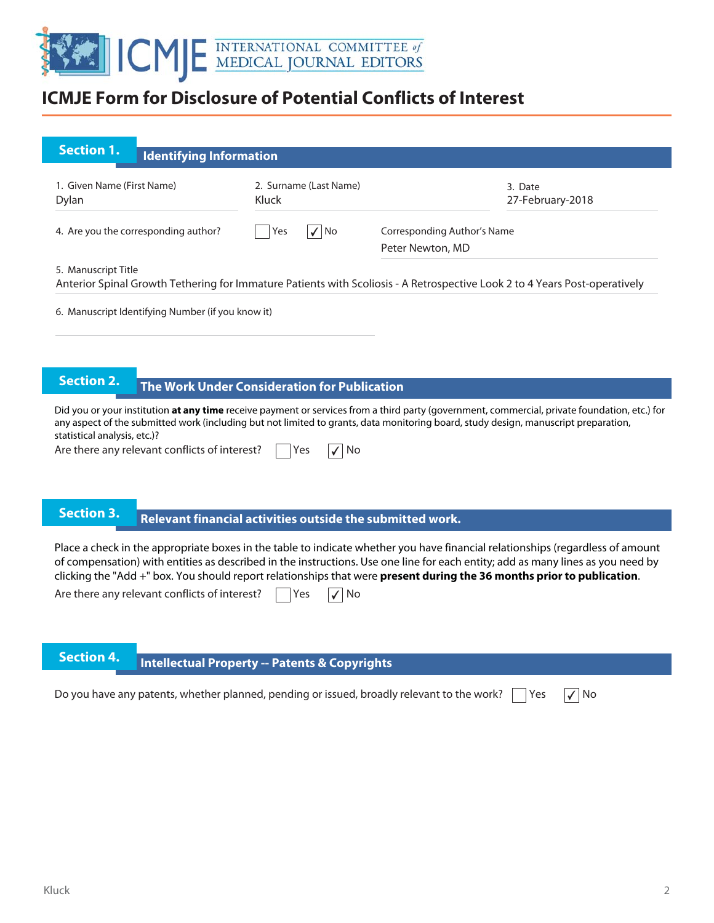

| <b>Section 1.</b>                                 | <b>Identifying Information</b>                            |                                                                                                                                                                                                                                                                                                                                                                                             |
|---------------------------------------------------|-----------------------------------------------------------|---------------------------------------------------------------------------------------------------------------------------------------------------------------------------------------------------------------------------------------------------------------------------------------------------------------------------------------------------------------------------------------------|
| 1. Given Name (First Name)<br>Dylan               | 2. Surname (Last Name)<br>Kluck                           | 3. Date<br>27-February-2018                                                                                                                                                                                                                                                                                                                                                                 |
| 4. Are you the corresponding author?              | $\sqrt{ N_0 }$<br>Yes                                     | Corresponding Author's Name<br>Peter Newton, MD                                                                                                                                                                                                                                                                                                                                             |
| 5. Manuscript Title                               |                                                           | Anterior Spinal Growth Tethering for Immature Patients with Scoliosis - A Retrospective Look 2 to 4 Years Post-operatively                                                                                                                                                                                                                                                                  |
| 6. Manuscript Identifying Number (if you know it) |                                                           |                                                                                                                                                                                                                                                                                                                                                                                             |
|                                                   |                                                           |                                                                                                                                                                                                                                                                                                                                                                                             |
| <b>Section 2.</b>                                 | The Work Under Consideration for Publication              |                                                                                                                                                                                                                                                                                                                                                                                             |
| statistical analysis, etc.)?                      |                                                           | Did you or your institution at any time receive payment or services from a third party (government, commercial, private foundation, etc.) for<br>any aspect of the submitted work (including but not limited to grants, data monitoring board, study design, manuscript preparation,                                                                                                        |
| Are there any relevant conflicts of interest?     | Yes<br>No                                                 |                                                                                                                                                                                                                                                                                                                                                                                             |
|                                                   |                                                           |                                                                                                                                                                                                                                                                                                                                                                                             |
| <b>Section 3.</b>                                 |                                                           |                                                                                                                                                                                                                                                                                                                                                                                             |
|                                                   | Relevant financial activities outside the submitted work. |                                                                                                                                                                                                                                                                                                                                                                                             |
|                                                   |                                                           | Place a check in the appropriate boxes in the table to indicate whether you have financial relationships (regardless of amount<br>of compensation) with entities as described in the instructions. Use one line for each entity; add as many lines as you need by<br>clicking the "Add +" box. You should report relationships that were present during the 36 months prior to publication. |
| Are there any relevant conflicts of interest?     | Yes<br>No                                                 |                                                                                                                                                                                                                                                                                                                                                                                             |

|  | Do you have any patents, whether planned, pending or issued, broadly relevant to the work? $\Box$ Yes $\Box$ No |  |  |
|--|-----------------------------------------------------------------------------------------------------------------|--|--|
|--|-----------------------------------------------------------------------------------------------------------------|--|--|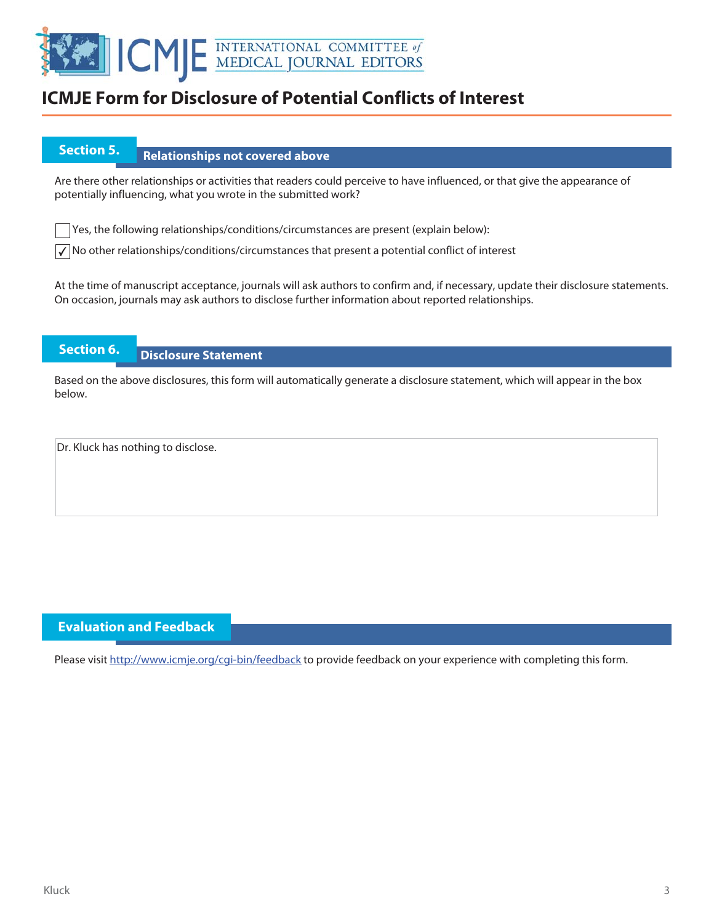

### **Section 5.** Relationships not covered above

Are there other relationships or activities that readers could perceive to have influenced, or that give the appearance of potentially influencing, what you wrote in the submitted work?

Yes, the following relationships/conditions/circumstances are present (explain below):

 $\sqrt{\ }$  No other relationships/conditions/circumstances that present a potential conflict of interest

At the time of manuscript acceptance, journals will ask authors to confirm and, if necessary, update their disclosure statements. On occasion, journals may ask authors to disclose further information about reported relationships.

### **Section 6. Disclosure Statement**

Based on the above disclosures, this form will automatically generate a disclosure statement, which will appear in the box below.

Dr. Kluck has nothing to disclose.

### **Evaluation and Feedback**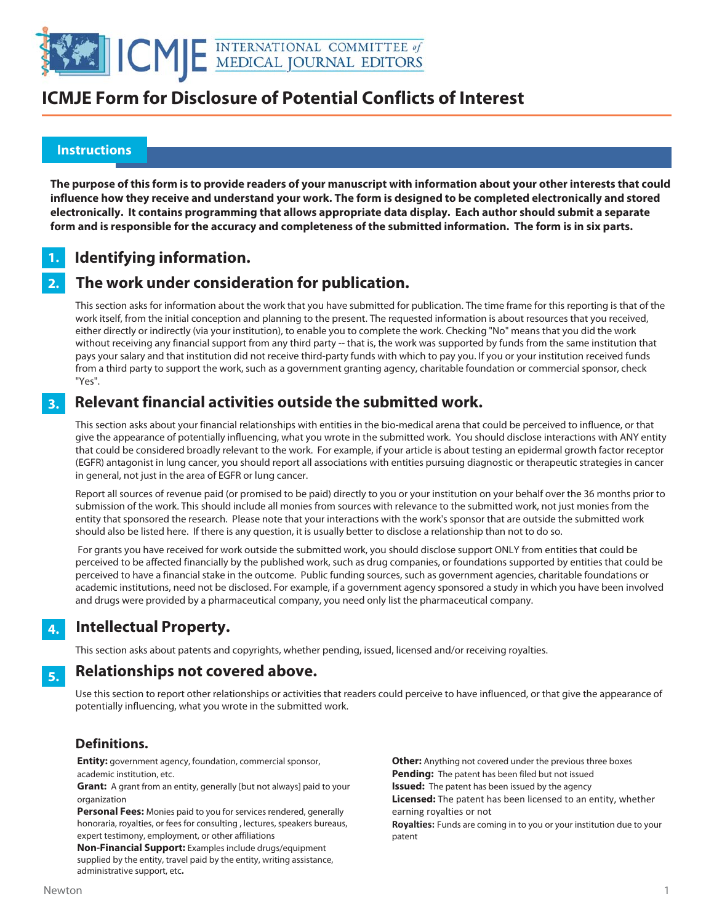

### **Instructions**

 

> **The purpose of this form is to provide readers of your manuscript with information about your other interests that could influence how they receive and understand your work. The form is designed to be completed electronically and stored electronically. It contains programming that allows appropriate data display. Each author should submit a separate form and is responsible for the accuracy and completeness of the submitted information. The form is in six parts.**

#### **Identifying information. 1.**

#### **The work under consideration for publication. 2.**

This section asks for information about the work that you have submitted for publication. The time frame for this reporting is that of the work itself, from the initial conception and planning to the present. The requested information is about resources that you received, either directly or indirectly (via your institution), to enable you to complete the work. Checking "No" means that you did the work without receiving any financial support from any third party -- that is, the work was supported by funds from the same institution that pays your salary and that institution did not receive third-party funds with which to pay you. If you or your institution received funds from a third party to support the work, such as a government granting agency, charitable foundation or commercial sponsor, check "Yes".

#### **Relevant financial activities outside the submitted work. 3.**

This section asks about your financial relationships with entities in the bio-medical arena that could be perceived to influence, or that give the appearance of potentially influencing, what you wrote in the submitted work. You should disclose interactions with ANY entity that could be considered broadly relevant to the work. For example, if your article is about testing an epidermal growth factor receptor (EGFR) antagonist in lung cancer, you should report all associations with entities pursuing diagnostic or therapeutic strategies in cancer in general, not just in the area of EGFR or lung cancer.

Report all sources of revenue paid (or promised to be paid) directly to you or your institution on your behalf over the 36 months prior to submission of the work. This should include all monies from sources with relevance to the submitted work, not just monies from the entity that sponsored the research. Please note that your interactions with the work's sponsor that are outside the submitted work should also be listed here. If there is any question, it is usually better to disclose a relationship than not to do so.

 For grants you have received for work outside the submitted work, you should disclose support ONLY from entities that could be perceived to be affected financially by the published work, such as drug companies, or foundations supported by entities that could be perceived to have a financial stake in the outcome. Public funding sources, such as government agencies, charitable foundations or academic institutions, need not be disclosed. For example, if a government agency sponsored a study in which you have been involved and drugs were provided by a pharmaceutical company, you need only list the pharmaceutical company.

#### **Intellectual Property. 4.**

This section asks about patents and copyrights, whether pending, issued, licensed and/or receiving royalties.

#### **Relationships not covered above. 5.**

Use this section to report other relationships or activities that readers could perceive to have influenced, or that give the appearance of potentially influencing, what you wrote in the submitted work.

### **Definitions.**

**Entity:** government agency, foundation, commercial sponsor, academic institution, etc.

**Grant:** A grant from an entity, generally [but not always] paid to your organization

**Personal Fees:** Monies paid to you for services rendered, generally honoraria, royalties, or fees for consulting , lectures, speakers bureaus, expert testimony, employment, or other affiliations

**Non-Financial Support:** Examples include drugs/equipment supplied by the entity, travel paid by the entity, writing assistance, administrative support, etc**.**

**Other:** Anything not covered under the previous three boxes **Pending:** The patent has been filed but not issued **Issued:** The patent has been issued by the agency **Licensed:** The patent has been licensed to an entity, whether earning royalties or not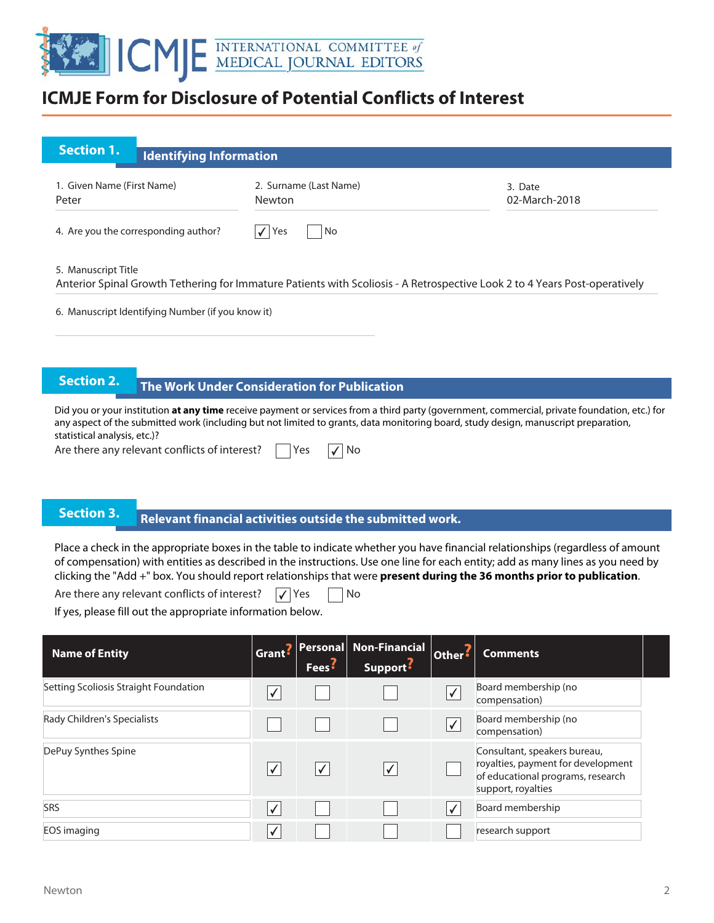

| Section 1.<br><b>Identifying Information</b> |                                         |                                                                                                                            |
|----------------------------------------------|-----------------------------------------|----------------------------------------------------------------------------------------------------------------------------|
| 1. Given Name (First Name)<br>Peter          | 2. Surname (Last Name)<br><b>Newton</b> | 3. Date<br>02-March-2018                                                                                                   |
| 4. Are you the corresponding author?         | $\sqrt{Y}$<br>No                        |                                                                                                                            |
| 5. Manuscript Title                          |                                         | Anterior Spinal Growth Tethering for Immature Patients with Scoliosis - A Retrospective Look 2 to 4 Years Post-operatively |

6. Manuscript Identifying Number (if you know it)

## **The Work Under Consideration for Publication**

Did you or your institution **at any time** receive payment or services from a third party (government, commercial, private foundation, etc.) for any aspect of the submitted work (including but not limited to grants, data monitoring board, study design, manuscript preparation, statistical analysis, etc.)?

Are there any relevant conflicts of interest?  $\Box$  Yes  $\Box$  No

# **Relevant financial activities outside the submitted work. Section 3. Relevant financial activities outset**

Place a check in the appropriate boxes in the table to indicate whether you have financial relationships (regardless of amount of compensation) with entities as described in the instructions. Use one line for each entity; add as many lines as you need by clicking the "Add +" box. You should report relationships that were **present during the 36 months prior to publication**.

Are there any relevant conflicts of interest?  $\sqrt{\ }$  Yes  $\Box$  No

If yes, please fill out the appropriate information below.

| <b>Name of Entity</b>                 | Grant?       | Fees <sup>5</sup> | Personal Non-Financial<br>Support <sup>5</sup> | Other:       | <b>Comments</b>                                                                                                               |  |
|---------------------------------------|--------------|-------------------|------------------------------------------------|--------------|-------------------------------------------------------------------------------------------------------------------------------|--|
| Setting Scoliosis Straight Foundation |              |                   |                                                | $\checkmark$ | Board membership (no<br>compensation)                                                                                         |  |
| Rady Children's Specialists           |              |                   |                                                | $\sqrt{}$    | Board membership (no<br>compensation)                                                                                         |  |
| DePuy Synthes Spine                   | $\sqrt{}$    | $\checkmark$      |                                                |              | Consultant, speakers bureau,<br>royalties, payment for development<br>of educational programs, research<br>support, royalties |  |
| <b>SRS</b>                            | $\checkmark$ |                   |                                                |              | Board membership                                                                                                              |  |
| EOS imaging                           |              |                   |                                                |              | research support                                                                                                              |  |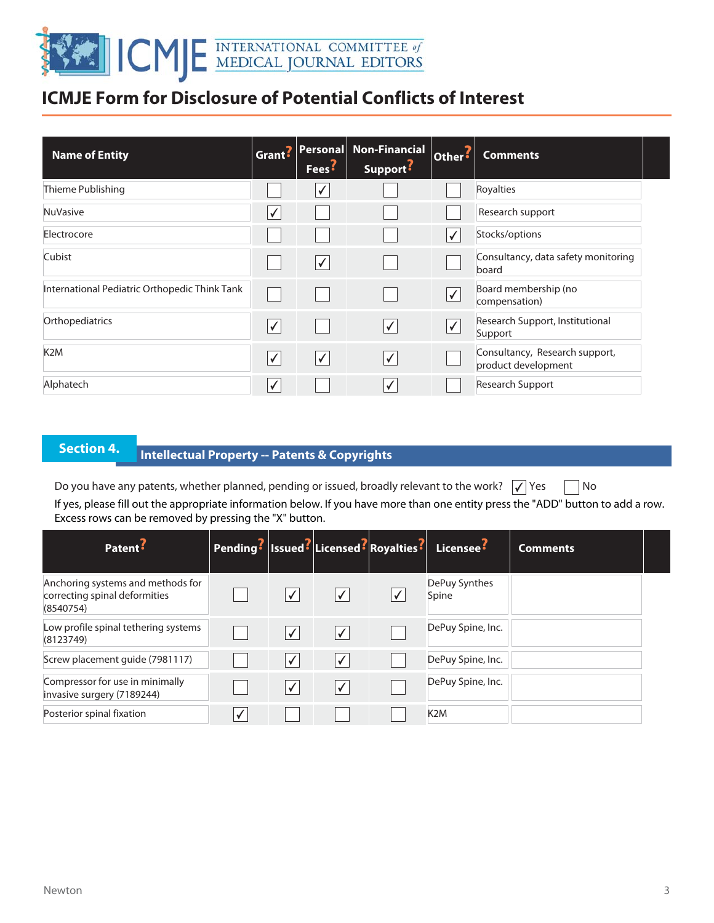

| <b>Name of Entity</b>                         | Grant <sup>:</sup> | Fees <sup>5</sup>              | Personal Non-Financial<br>Support? | $ $ Other $\epsilon$ | <b>Comments</b>                                       |  |
|-----------------------------------------------|--------------------|--------------------------------|------------------------------------|----------------------|-------------------------------------------------------|--|
| Thieme Publishing                             |                    | $\sqrt{}$                      |                                    |                      | Royalties                                             |  |
| <b>NuVasive</b>                               | $\checkmark$       |                                |                                    |                      | Research support                                      |  |
| Electrocore                                   |                    |                                |                                    |                      | Stocks/options                                        |  |
| Cubist                                        |                    | $\vert\blacktriangledown\vert$ |                                    |                      | Consultancy, data safety monitoring<br>board          |  |
| International Pediatric Orthopedic Think Tank |                    |                                |                                    | $\sqrt{}$            | Board membership (no<br>compensation)                 |  |
| Orthopediatrics                               | $\checkmark$       |                                | $\checkmark$                       | $\checkmark$         | Research Support, Institutional<br>Support            |  |
| K <sub>2</sub> M                              | $\sqrt{}$          | $ \checkmark $                 | $\sqrt{}$                          |                      | Consultancy, Research support,<br>product development |  |
| Alphatech                                     | $\checkmark$       |                                | $\checkmark$                       |                      | Research Support                                      |  |

### **Intellectual Property -- Patents & Copyrights**

Do you have any patents, whether planned, pending or issued, broadly relevant to the work?  $\sqrt{\sqrt{1}}$  Yes  $\Box$  No If yes, please fill out the appropriate information below. If you have more than one entity press the "ADD" button to add a row. Excess rows can be removed by pressing the "X" button.

| Patent <sup>5</sup>                                                             | Pending: Issued: Licensed: Royalties: |              |              | Licensee <sup>?</sup>  | <b>Comments</b> |  |
|---------------------------------------------------------------------------------|---------------------------------------|--------------|--------------|------------------------|-----------------|--|
| Anchoring systems and methods for<br>correcting spinal deformities<br>(8540754) |                                       |              | $\checkmark$ | DePuy Synthes<br>Spine |                 |  |
| Low profile spinal tethering systems<br>(8123749)                               |                                       | $\checkmark$ | $\checkmark$ | DePuy Spine, Inc.      |                 |  |
| Screw placement quide (7981117)                                                 |                                       | $\sqrt{ }$   | $\checkmark$ | DePuy Spine, Inc.      |                 |  |
| Compressor for use in minimally<br>invasive surgery (7189244)                   |                                       | $\checkmark$ | $\checkmark$ | DePuy Spine, Inc.      |                 |  |
| Posterior spinal fixation                                                       |                                       |              |              | K <sub>2</sub> M       |                 |  |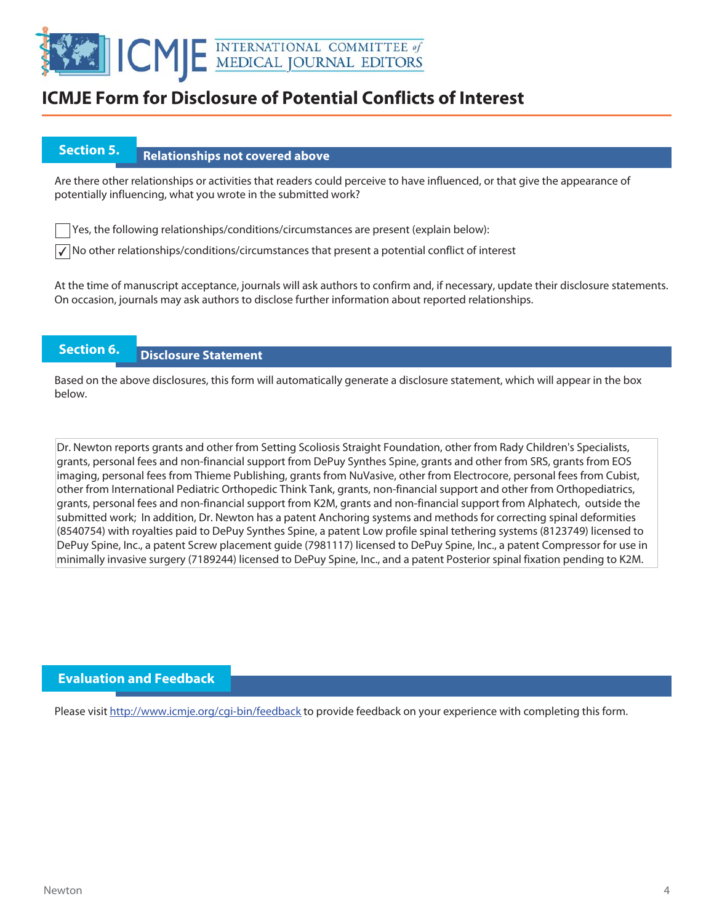

### **Section 5.** Relationships not covered above

Are there other relationships or activities that readers could perceive to have influenced, or that give the appearance of potentially influencing, what you wrote in the submitted work?

Yes, the following relationships/conditions/circumstances are present (explain below):

 $\sqrt{\ }$  No other relationships/conditions/circumstances that present a potential conflict of interest

At the time of manuscript acceptance, journals will ask authors to confirm and, if necessary, update their disclosure statements. On occasion, journals may ask authors to disclose further information about reported relationships.

### **Section 6. Disclosure Statement**

Based on the above disclosures, this form will automatically generate a disclosure statement, which will appear in the box below.

Dr. Newton reports grants and other from Setting Scoliosis Straight Foundation, other from Rady Children's Specialists, grants, personal fees and non-financial support from DePuy Synthes Spine, grants and other from SRS, grants from EOS imaging, personal fees from Thieme Publishing, grants from NuVasive, other from Electrocore, personal fees from Cubist, other from International Pediatric Orthopedic Think Tank, grants, non-financial support and other from Orthopediatrics, grants, personal fees and non-financial support from K2M, grants and non-financial support from Alphatech, outside the submitted work; In addition, Dr. Newton has a patent Anchoring systems and methods for correcting spinal deformities (8540754) with royalties paid to DePuy Synthes Spine, a patent Low profile spinal tethering systems (8123749) licensed to DePuy Spine, Inc., a patent Screw placement guide (7981117) licensed to DePuy Spine, Inc., a patent Compressor for use in minimally invasive surgery (7189244) licensed to DePuy Spine, Inc., and a patent Posterior spinal fixation pending to K2M.

### **Evaluation and Feedback**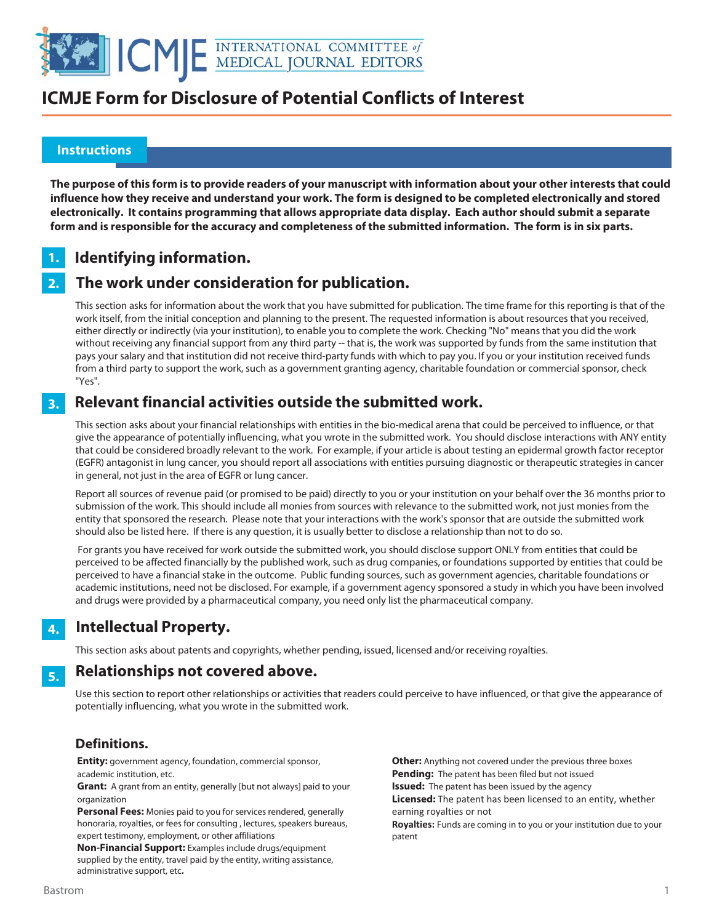

### **Instructions**

 

> **The purpose of this form is to provide readers of your manuscript with information about your other interests that could influence how they receive and understand your work. The form is designed to be completed electronically and stored electronically. It contains programming that allows appropriate data display. Each author should submit a separate form and is responsible for the accuracy and completeness of the submitted information. The form is in six parts.**

#### **Identifying information. 1.**

#### **The work under consideration for publication. 2.**

This section asks for information about the work that you have submitted for publication. The time frame for this reporting is that of the work itself, from the initial conception and planning to the present. The requested information is about resources that you received, either directly or indirectly (via your institution), to enable you to complete the work. Checking "No" means that you did the work without receiving any financial support from any third party -- that is, the work was supported by funds from the same institution that pays your salary and that institution did not receive third-party funds with which to pay you. If you or your institution received funds from a third party to support the work, such as a government granting agency, charitable foundation or commercial sponsor, check "Yes".

#### **Relevant financial activities outside the submitted work. 3.**

This section asks about your financial relationships with entities in the bio-medical arena that could be perceived to influence, or that give the appearance of potentially influencing, what you wrote in the submitted work. You should disclose interactions with ANY entity that could be considered broadly relevant to the work. For example, if your article is about testing an epidermal growth factor receptor (EGFR) antagonist in lung cancer, you should report all associations with entities pursuing diagnostic or therapeutic strategies in cancer in general, not just in the area of EGFR or lung cancer.

Report all sources of revenue paid (or promised to be paid) directly to you or your institution on your behalf over the 36 months prior to submission of the work. This should include all monies from sources with relevance to the submitted work, not just monies from the entity that sponsored the research. Please note that your interactions with the work's sponsor that are outside the submitted work should also be listed here. If there is any question, it is usually better to disclose a relationship than not to do so.

 For grants you have received for work outside the submitted work, you should disclose support ONLY from entities that could be perceived to be affected financially by the published work, such as drug companies, or foundations supported by entities that could be perceived to have a financial stake in the outcome. Public funding sources, such as government agencies, charitable foundations or academic institutions, need not be disclosed. For example, if a government agency sponsored a study in which you have been involved and drugs were provided by a pharmaceutical company, you need only list the pharmaceutical company.

#### **Intellectual Property. 4.**

This section asks about patents and copyrights, whether pending, issued, licensed and/or receiving royalties.

#### **Relationships not covered above. 5.**

Use this section to report other relationships or activities that readers could perceive to have influenced, or that give the appearance of potentially influencing, what you wrote in the submitted work.

### **Definitions.**

**Entity:** government agency, foundation, commercial sponsor, academic institution, etc.

**Grant:** A grant from an entity, generally [but not always] paid to your organization

**Personal Fees:** Monies paid to you for services rendered, generally honoraria, royalties, or fees for consulting , lectures, speakers bureaus, expert testimony, employment, or other affiliations

**Non-Financial Support:** Examples include drugs/equipment supplied by the entity, travel paid by the entity, writing assistance, administrative support, etc**.**

**Other:** Anything not covered under the previous three boxes **Pending:** The patent has been filed but not issued **Issued:** The patent has been issued by the agency **Licensed:** The patent has been licensed to an entity, whether earning royalties or not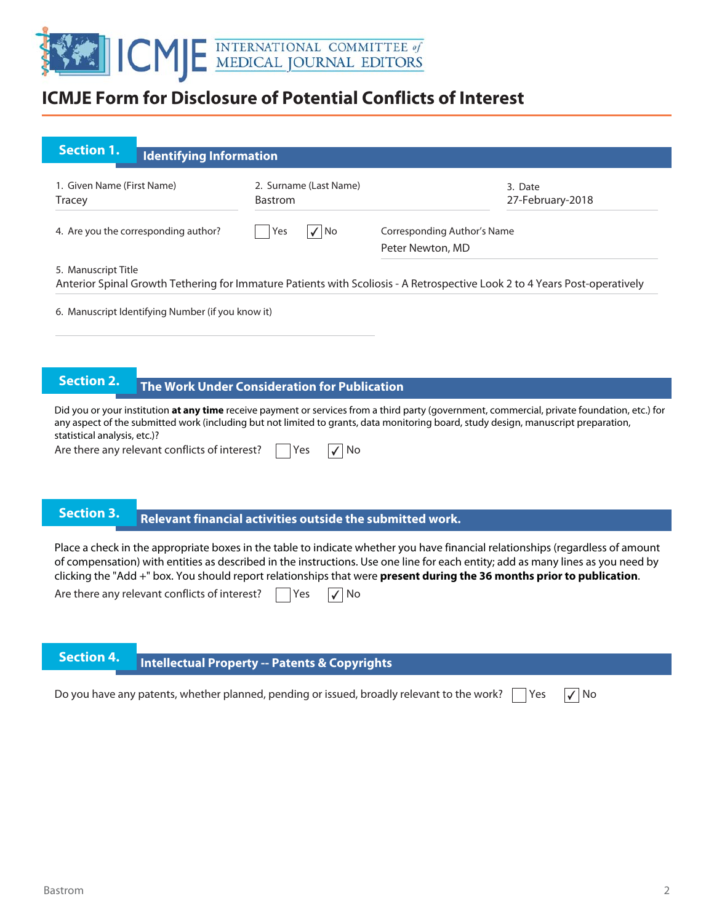

| <b>Section 1.</b><br><b>Identifying Information</b>                                                                                                                                                                                                                                                                                                                                         |                                                           |                                                 |                             |  |  |  |
|---------------------------------------------------------------------------------------------------------------------------------------------------------------------------------------------------------------------------------------------------------------------------------------------------------------------------------------------------------------------------------------------|-----------------------------------------------------------|-------------------------------------------------|-----------------------------|--|--|--|
| 1. Given Name (First Name)<br><b>Tracey</b>                                                                                                                                                                                                                                                                                                                                                 | 2. Surname (Last Name)<br><b>Bastrom</b>                  |                                                 | 3. Date<br>27-February-2018 |  |  |  |
| 4. Are you the corresponding author?                                                                                                                                                                                                                                                                                                                                                        | $\sqrt{N}$<br>Yes                                         | Corresponding Author's Name<br>Peter Newton, MD |                             |  |  |  |
| 5. Manuscript Title<br>Anterior Spinal Growth Tethering for Immature Patients with Scoliosis - A Retrospective Look 2 to 4 Years Post-operatively                                                                                                                                                                                                                                           |                                                           |                                                 |                             |  |  |  |
| 6. Manuscript Identifying Number (if you know it)                                                                                                                                                                                                                                                                                                                                           |                                                           |                                                 |                             |  |  |  |
|                                                                                                                                                                                                                                                                                                                                                                                             |                                                           |                                                 |                             |  |  |  |
|                                                                                                                                                                                                                                                                                                                                                                                             |                                                           |                                                 |                             |  |  |  |
| <b>Section 2.</b>                                                                                                                                                                                                                                                                                                                                                                           | <b>The Work Under Consideration for Publication</b>       |                                                 |                             |  |  |  |
| Did you or your institution at any time receive payment or services from a third party (government, commercial, private foundation, etc.) for<br>any aspect of the submitted work (including but not limited to grants, data monitoring board, study design, manuscript preparation,<br>statistical analysis, etc.)?                                                                        |                                                           |                                                 |                             |  |  |  |
| Are there any relevant conflicts of interest?                                                                                                                                                                                                                                                                                                                                               | $\sqrt{ N}$<br>Yes                                        |                                                 |                             |  |  |  |
|                                                                                                                                                                                                                                                                                                                                                                                             |                                                           |                                                 |                             |  |  |  |
|                                                                                                                                                                                                                                                                                                                                                                                             |                                                           |                                                 |                             |  |  |  |
| <b>Section 3.</b>                                                                                                                                                                                                                                                                                                                                                                           | Relevant financial activities outside the submitted work. |                                                 |                             |  |  |  |
| Place a check in the appropriate boxes in the table to indicate whether you have financial relationships (regardless of amount<br>of compensation) with entities as described in the instructions. Use one line for each entity; add as many lines as you need by<br>clicking the "Add +" box. You should report relationships that were present during the 36 months prior to publication. |                                                           |                                                 |                             |  |  |  |
| Are there any relevant conflicts of interest?                                                                                                                                                                                                                                                                                                                                               | $\sqrt{ }$ No<br>Yes                                      |                                                 |                             |  |  |  |

| Do you have any patents, whether planned, pending or issued, broadly relevant to the work? $\Box$ Yes $\Box$ No |  |
|-----------------------------------------------------------------------------------------------------------------|--|
|                                                                                                                 |  |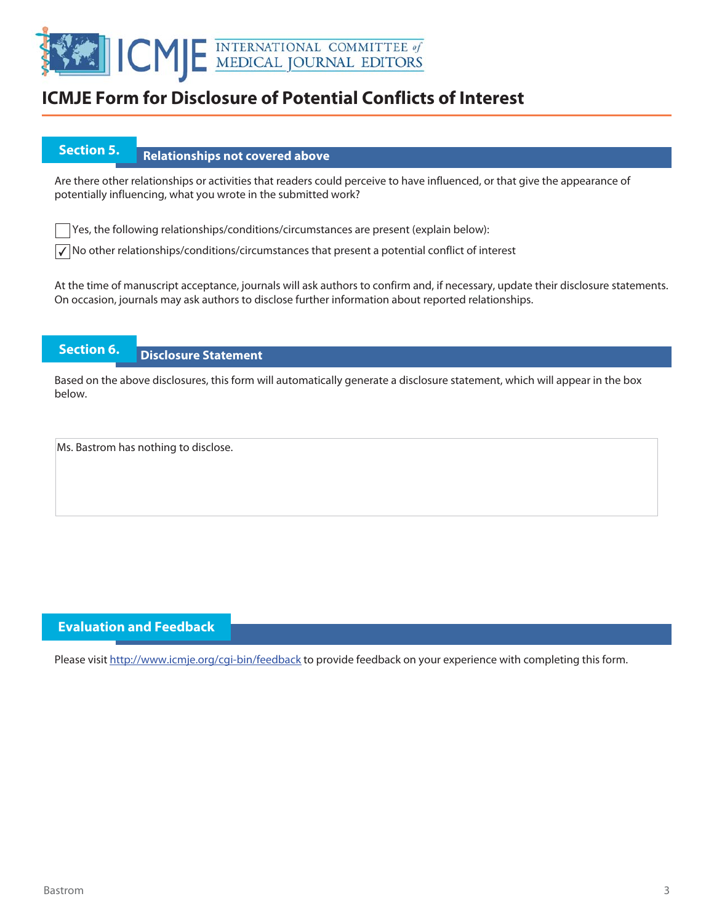

### **Section 5.** Relationships not covered above

Are there other relationships or activities that readers could perceive to have influenced, or that give the appearance of potentially influencing, what you wrote in the submitted work?

Yes, the following relationships/conditions/circumstances are present (explain below):

 $\sqrt{\ }$  No other relationships/conditions/circumstances that present a potential conflict of interest

At the time of manuscript acceptance, journals will ask authors to confirm and, if necessary, update their disclosure statements. On occasion, journals may ask authors to disclose further information about reported relationships.

### **Section 6. Disclosure Statement**

Based on the above disclosures, this form will automatically generate a disclosure statement, which will appear in the box below.

Ms. Bastrom has nothing to disclose.

### **Evaluation and Feedback**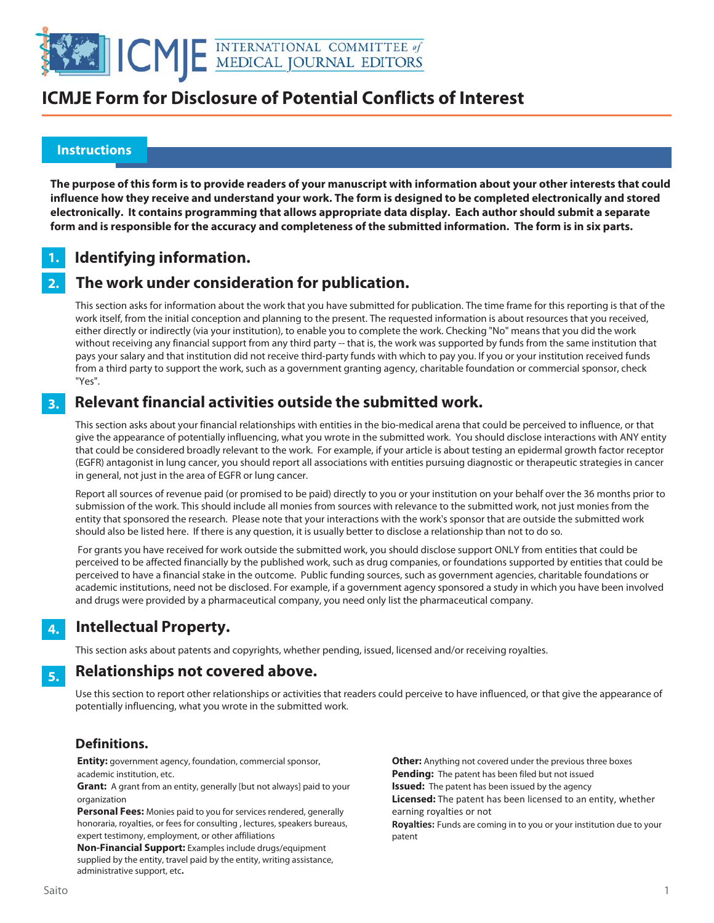

### **Instructions**

 

> **The purpose of this form is to provide readers of your manuscript with information about your other interests that could influence how they receive and understand your work. The form is designed to be completed electronically and stored electronically. It contains programming that allows appropriate data display. Each author should submit a separate form and is responsible for the accuracy and completeness of the submitted information. The form is in six parts.**

#### **Identifying information. 1.**

#### **The work under consideration for publication. 2.**

This section asks for information about the work that you have submitted for publication. The time frame for this reporting is that of the work itself, from the initial conception and planning to the present. The requested information is about resources that you received, either directly or indirectly (via your institution), to enable you to complete the work. Checking "No" means that you did the work without receiving any financial support from any third party -- that is, the work was supported by funds from the same institution that pays your salary and that institution did not receive third-party funds with which to pay you. If you or your institution received funds from a third party to support the work, such as a government granting agency, charitable foundation or commercial sponsor, check "Yes".

#### **Relevant financial activities outside the submitted work. 3.**

This section asks about your financial relationships with entities in the bio-medical arena that could be perceived to influence, or that give the appearance of potentially influencing, what you wrote in the submitted work. You should disclose interactions with ANY entity that could be considered broadly relevant to the work. For example, if your article is about testing an epidermal growth factor receptor (EGFR) antagonist in lung cancer, you should report all associations with entities pursuing diagnostic or therapeutic strategies in cancer in general, not just in the area of EGFR or lung cancer.

Report all sources of revenue paid (or promised to be paid) directly to you or your institution on your behalf over the 36 months prior to submission of the work. This should include all monies from sources with relevance to the submitted work, not just monies from the entity that sponsored the research. Please note that your interactions with the work's sponsor that are outside the submitted work should also be listed here. If there is any question, it is usually better to disclose a relationship than not to do so.

 For grants you have received for work outside the submitted work, you should disclose support ONLY from entities that could be perceived to be affected financially by the published work, such as drug companies, or foundations supported by entities that could be perceived to have a financial stake in the outcome. Public funding sources, such as government agencies, charitable foundations or academic institutions, need not be disclosed. For example, if a government agency sponsored a study in which you have been involved and drugs were provided by a pharmaceutical company, you need only list the pharmaceutical company.

### **Intellectual Property. 4.**

This section asks about patents and copyrights, whether pending, issued, licensed and/or receiving royalties.

#### **Relationships not covered above. 5.**

Use this section to report other relationships or activities that readers could perceive to have influenced, or that give the appearance of potentially influencing, what you wrote in the submitted work.

### **Definitions.**

**Entity:** government agency, foundation, commercial sponsor, academic institution, etc.

**Grant:** A grant from an entity, generally [but not always] paid to your organization

**Personal Fees:** Monies paid to you for services rendered, generally honoraria, royalties, or fees for consulting , lectures, speakers bureaus, expert testimony, employment, or other affiliations

**Non-Financial Support:** Examples include drugs/equipment supplied by the entity, travel paid by the entity, writing assistance, administrative support, etc**.**

**Other:** Anything not covered under the previous three boxes **Pending:** The patent has been filed but not issued **Issued:** The patent has been issued by the agency **Licensed:** The patent has been licensed to an entity, whether earning royalties or not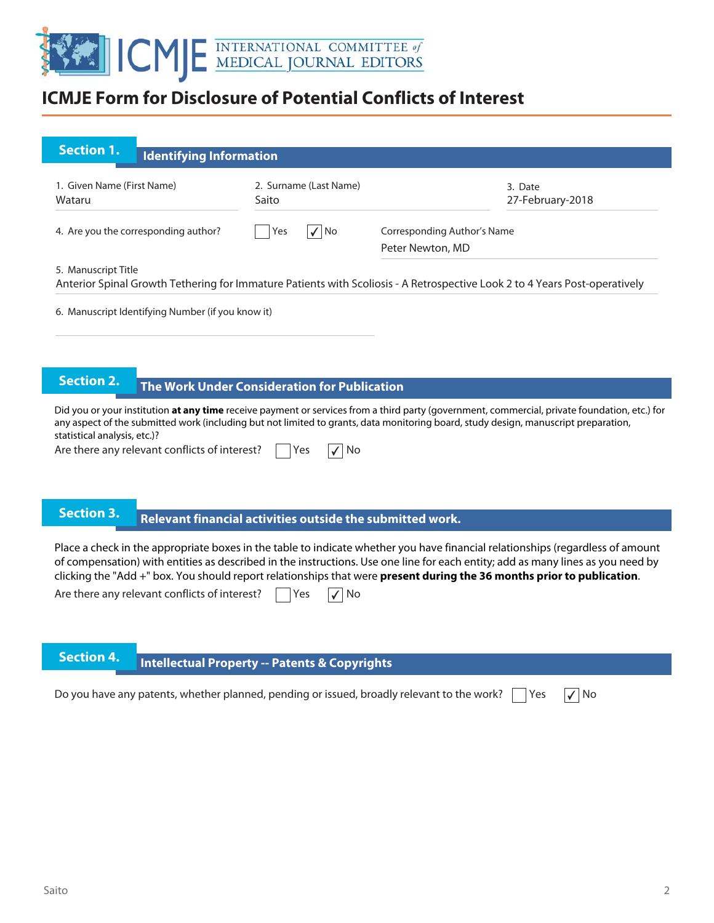

| <b>Section 1.</b><br><b>Identifying Information</b>                           |                                                           |                                                                                                                                                                                                                                                                                                                                                                                             |
|-------------------------------------------------------------------------------|-----------------------------------------------------------|---------------------------------------------------------------------------------------------------------------------------------------------------------------------------------------------------------------------------------------------------------------------------------------------------------------------------------------------------------------------------------------------|
| 1. Given Name (First Name)<br>Wataru                                          | 2. Surname (Last Name)<br>Saito                           | 3. Date<br>27-February-2018                                                                                                                                                                                                                                                                                                                                                                 |
| 4. Are you the corresponding author?                                          | $\sqrt{ N_0 }$<br>Yes                                     | Corresponding Author's Name<br>Peter Newton, MD                                                                                                                                                                                                                                                                                                                                             |
| 5. Manuscript Title                                                           |                                                           | Anterior Spinal Growth Tethering for Immature Patients with Scoliosis - A Retrospective Look 2 to 4 Years Post-operatively                                                                                                                                                                                                                                                                  |
| 6. Manuscript Identifying Number (if you know it)                             |                                                           |                                                                                                                                                                                                                                                                                                                                                                                             |
|                                                                               |                                                           |                                                                                                                                                                                                                                                                                                                                                                                             |
| <b>Section 2.</b>                                                             | <b>The Work Under Consideration for Publication</b>       |                                                                                                                                                                                                                                                                                                                                                                                             |
| statistical analysis, etc.)?<br>Are there any relevant conflicts of interest? | $\sqrt{ }$ No<br>Yes                                      | Did you or your institution at any time receive payment or services from a third party (government, commercial, private foundation, etc.) for<br>any aspect of the submitted work (including but not limited to grants, data monitoring board, study design, manuscript preparation,                                                                                                        |
|                                                                               |                                                           |                                                                                                                                                                                                                                                                                                                                                                                             |
| <b>Section 3.</b>                                                             | Relevant financial activities outside the submitted work. |                                                                                                                                                                                                                                                                                                                                                                                             |
| Are there any relevant conflicts of interest?                                 | $\checkmark$<br>Yes<br>No                                 | Place a check in the appropriate boxes in the table to indicate whether you have financial relationships (regardless of amount<br>of compensation) with entities as described in the instructions. Use one line for each entity; add as many lines as you need by<br>clicking the "Add +" box. You should report relationships that were present during the 36 months prior to publication. |

| Do you have any patents, whether planned, pending or issued, broadly relevant to the work? $\Box$ Yes $\Box$ No |  |
|-----------------------------------------------------------------------------------------------------------------|--|
|                                                                                                                 |  |